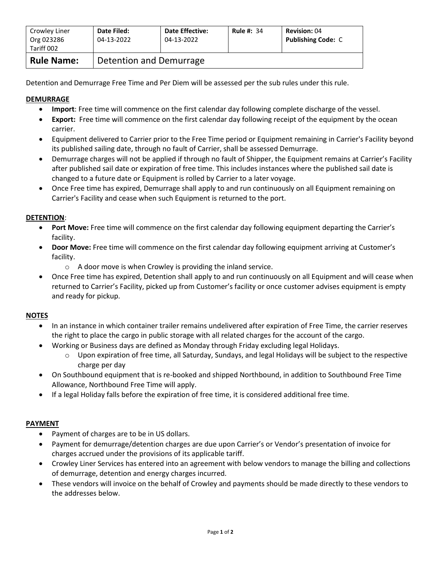| Crowley Liner<br>Org 023286<br>Tariff 002 | Date Filed:<br>04-13-2022 | <b>Date Effective:</b><br>04-13-2022 | <b>Rule #: 34</b> | <b>Revision: 04</b><br><b>Publishing Code: C</b> |  |
|-------------------------------------------|---------------------------|--------------------------------------|-------------------|--------------------------------------------------|--|
| <b>Rule Name:</b>                         | Detention and Demurrage   |                                      |                   |                                                  |  |

Detention and Demurrage Free Time and Per Diem will be assessed per the sub rules under this rule.

# **DEMURRAGE**

- **Import**: Free time will commence on the first calendar day following complete discharge of the vessel.
- **Export:** Free time will commence on the first calendar day following receipt of the equipment by the ocean carrier.
- Equipment delivered to Carrier prior to the Free Time period or Equipment remaining in Carrier's Facility beyond its published sailing date, through no fault of Carrier, shall be assessed Demurrage.
- Demurrage charges will not be applied if through no fault of Shipper, the Equipment remains at Carrier's Facility after published sail date or expiration of free time. This includes instances where the published sail date is changed to a future date or Equipment is rolled by Carrier to a later voyage.
- Once Free time has expired, Demurrage shall apply to and run continuously on all Equipment remaining on Carrier's Facility and cease when such Equipment is returned to the port.

## **DETENTION**:

- **Port Move:** Free time will commence on the first calendar day following equipment departing the Carrier's facility.
- **Door Move:** Free time will commence on the first calendar day following equipment arriving at Customer's facility.
	- o A door move is when Crowley is providing the inland service.
- Once Free time has expired, Detention shall apply to and run continuously on all Equipment and will cease when returned to Carrier's Facility, picked up from Customer's facility or once customer advises equipment is empty and ready for pickup.

### **NOTES**

- In an instance in which container trailer remains undelivered after expiration of Free Time, the carrier reserves the right to place the cargo in public storage with all related charges for the account of the cargo.
- Working or Business days are defined as Monday through Friday excluding legal Holidays.
	- $\circ$  Upon expiration of free time, all Saturday, Sundays, and legal Holidays will be subject to the respective charge per day
- On Southbound equipment that is re-booked and shipped Northbound, in addition to Southbound Free Time Allowance, Northbound Free Time will apply.
- If a legal Holiday falls before the expiration of free time, it is considered additional free time.

### **PAYMENT**

- Payment of charges are to be in US dollars.
- Payment for demurrage/detention charges are due upon Carrier's or Vendor's presentation of invoice for charges accrued under the provisions of its applicable tariff.
- Crowley Liner Services has entered into an agreement with below vendors to manage the billing and collections of demurrage, detention and energy charges incurred.
- These vendors will invoice on the behalf of Crowley and payments should be made directly to these vendors to the addresses below.